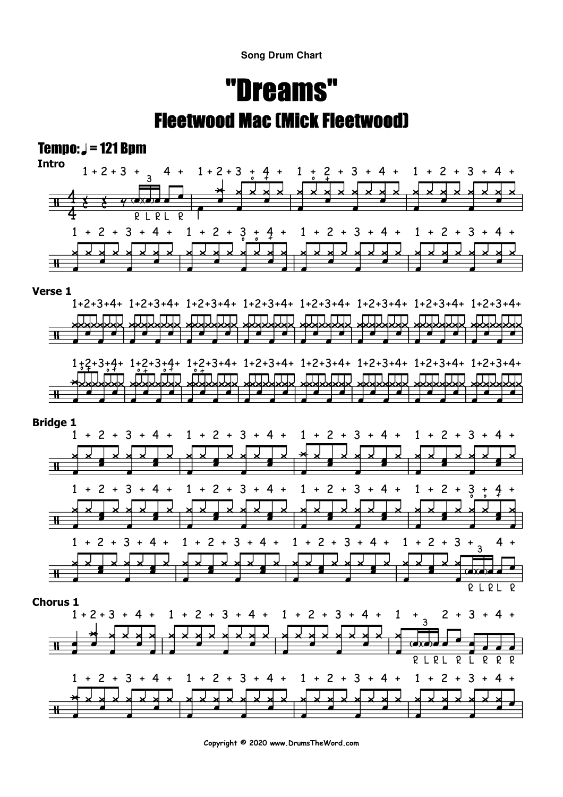**Song Drum Chart**

# "Dreams"Fleetwood Mac (Mick Fleetwood)

### Tempo:  $J = 121$  Bpm



#### **Verse 1**





**Copyright © 2020 www.DrumsTheWord.com**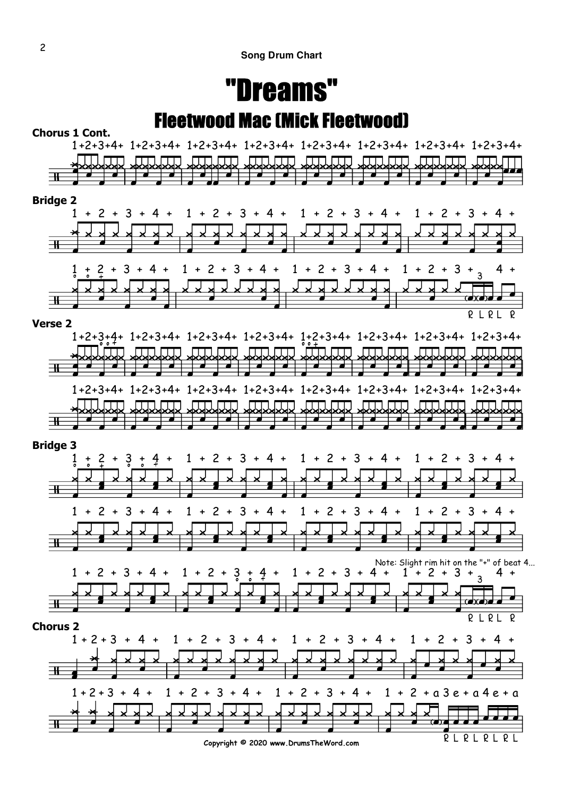### "Dreams"Fleetwood Mac (Mick Fleetwood)



**Copyright © 2020 www.DrumsTheWord.com**